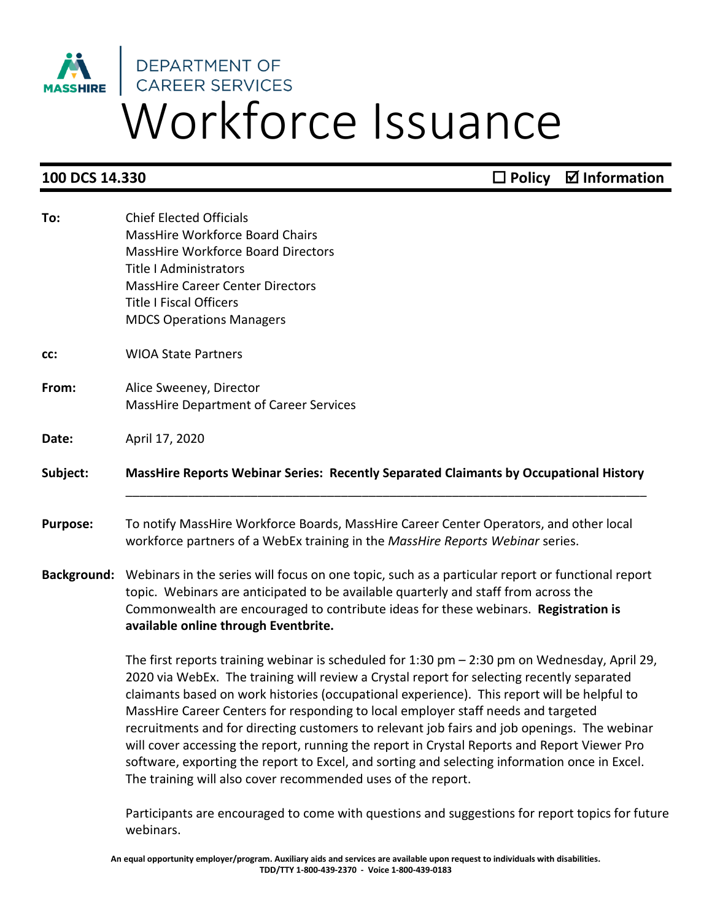## Workforce Issuance

**100 DCS 14.330 Decay in the Policy**  Decay **Policy Ø** Information

| To:             | <b>Chief Elected Officials</b><br>MassHire Workforce Board Chairs<br><b>MassHire Workforce Board Directors</b><br><b>Title I Administrators</b><br><b>MassHire Career Center Directors</b><br><b>Title I Fiscal Officers</b><br><b>MDCS Operations Managers</b>                                                                                                                                                                                                                                                                                                                                                                                                                                                                                  |
|-----------------|--------------------------------------------------------------------------------------------------------------------------------------------------------------------------------------------------------------------------------------------------------------------------------------------------------------------------------------------------------------------------------------------------------------------------------------------------------------------------------------------------------------------------------------------------------------------------------------------------------------------------------------------------------------------------------------------------------------------------------------------------|
| CC:             | <b>WIOA State Partners</b>                                                                                                                                                                                                                                                                                                                                                                                                                                                                                                                                                                                                                                                                                                                       |
| From:           | Alice Sweeney, Director<br><b>MassHire Department of Career Services</b>                                                                                                                                                                                                                                                                                                                                                                                                                                                                                                                                                                                                                                                                         |
| Date:           | April 17, 2020                                                                                                                                                                                                                                                                                                                                                                                                                                                                                                                                                                                                                                                                                                                                   |
| Subject:        | MassHire Reports Webinar Series: Recently Separated Claimants by Occupational History                                                                                                                                                                                                                                                                                                                                                                                                                                                                                                                                                                                                                                                            |
| <b>Purpose:</b> | To notify MassHire Workforce Boards, MassHire Career Center Operators, and other local<br>workforce partners of a WebEx training in the MassHire Reports Webinar series.                                                                                                                                                                                                                                                                                                                                                                                                                                                                                                                                                                         |
|                 | Background: Webinars in the series will focus on one topic, such as a particular report or functional report<br>topic. Webinars are anticipated to be available quarterly and staff from across the<br>Commonwealth are encouraged to contribute ideas for these webinars. Registration is<br>available online through Eventbrite.                                                                                                                                                                                                                                                                                                                                                                                                               |
|                 | The first reports training webinar is scheduled for 1:30 pm - 2:30 pm on Wednesday, April 29,<br>2020 via WebEx. The training will review a Crystal report for selecting recently separated<br>claimants based on work histories (occupational experience). This report will be helpful to<br>MassHire Career Centers for responding to local employer staff needs and targeted<br>recruitments and for directing customers to relevant job fairs and job openings. The webinar<br>will cover accessing the report, running the report in Crystal Reports and Report Viewer Pro<br>software, exporting the report to Excel, and sorting and selecting information once in Excel.<br>The training will also cover recommended uses of the report. |

Participants are encouraged to come with questions and suggestions for report topics for future webinars.